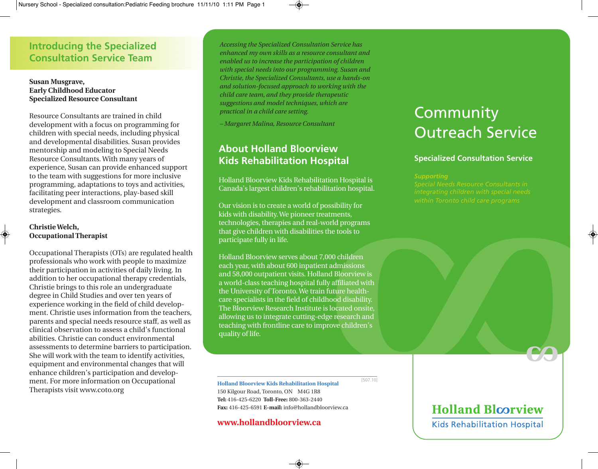# **Introducing the Specialized Consultation Service Team**

#### **Susan Musgrave, Early Childhood Educator Specialized Resource Consultant**

Resource Consultants are trained in child development with a focus on programming for children with special needs, including physical and developmental disabilities. Susan provides mentorship and modeling to Special Needs Resource Consultants. With many years of experience, Susan can provide enhanced support to the team with suggestions for more inclusive programming, adaptations to toys and activities, facilitating peer interactions, play-based skill development and classroom communication strategies.

#### **ChristieWelch, Occupational Therapist**

Occupational Therapists (OTs) are regulated health professionals who work with people to maximize their participation in activities of daily living. In addition to her occupational therapy credentials, Christie brings to this role an undergraduate degree in Child Studies and over ten years of experience working in the field of child development. Christie uses information from the teachers, parents and special needs resource staff, as well as clinical observation to assess a child's functional abilities. Christie can conduct environmental assessments to determine barriers to participation. She will work with the team to identify activities, equipment and environmental changes that will enhance children's participation and development. For more information on Occupational Therapists visit www.coto.org

*Accessing the Specialized Consultation Service has enhanced my own skills as a resource consultant and enabled us to increase the participation of children with special needs into our programming. Susan and Christie, the Specialized Consultants, use a hands-on and solution-focused approach to working with the child care team, and they provide therapeutic suggestions and model techniques, which are practical in a child care setting.*

*– Margaret Malina, Resource Consultant*

# **About Holland Bloorview Kids Rehabilitation Hospital**

Holland Bloorview Kids Rehabilitation Hospital is Canada's largest children's rehabilitation hospital.

Our vision is to create a world of possibility for kids with disability.We pioneer treatments, technologies, therapies and real-world programs that give children with disabilities the tools to participate fully in life.

Holland Bloorview serves about 7,000 children each year, with about 600 inpatient admissions and 58,000 outpatient visits. Holland Bloorview is a world-class teaching hospital fully affiliated with the University of Toronto.We train future healthcare specialists in the field of childhood disability. The Bloorview Research Institute is located onsite, allowing us to integrate cutting-edge research and teaching with frontline care to improve children's quality of life.

# **Community** Outreach Service

### **Specialized Consultation Service**

**Holland Bloorview Kids Rehabilitation Hospital** 150 Kilgour Road, Toronto, ON M4G 1R8

**Tel:** 416-425-6220 **Toll-Free:** 800-363-2440 **Fax:** 416-425-6591 **E-mail:** info@hollandbloorview.ca

#### **www.hollandbloorview.ca**

[507.10]

# **Holland Bloorview**

**Kids Rehabilitation Hospital**